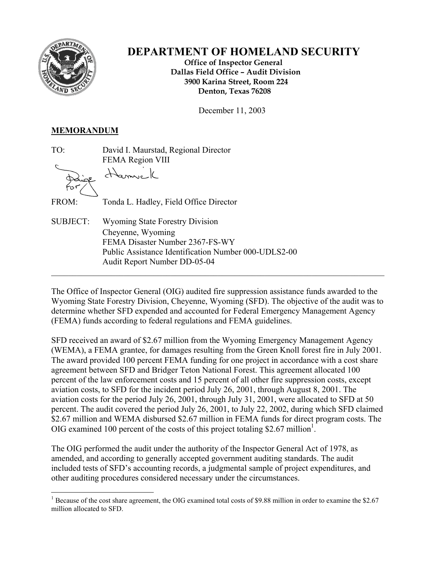

# **DEPARTMENT OF HOMELAND SECURITY**

 **Office of Inspector General Dallas Field Office – Audit Division 3900 Karina Street, Room 224 Denton, Texas 76208** 

December 11, 2003

### **MEMORANDUM**

TO: David I. Maurstad, Regional Director FEMA Region VIII

Hammel

FROM: Tonda L. Hadley, Field Office Director

SUBJECT: Wyoming State Forestry Division Cheyenne, Wyoming FEMA Disaster Number 2367-FS-WY Public Assistance Identification Number 000-UDLS2-00 Audit Report Number DD-05-04  $\mathcal{L}_\mathcal{L} = \{ \mathcal{L}_\mathcal{L} = \{ \mathcal{L}_\mathcal{L} = \{ \mathcal{L}_\mathcal{L} = \{ \mathcal{L}_\mathcal{L} = \{ \mathcal{L}_\mathcal{L} = \{ \mathcal{L}_\mathcal{L} = \{ \mathcal{L}_\mathcal{L} = \{ \mathcal{L}_\mathcal{L} = \{ \mathcal{L}_\mathcal{L} = \{ \mathcal{L}_\mathcal{L} = \{ \mathcal{L}_\mathcal{L} = \{ \mathcal{L}_\mathcal{L} = \{ \mathcal{L}_\mathcal{L} = \{ \mathcal{L}_\mathcal{$ 

The Office of Inspector General (OIG) audited fire suppression assistance funds awarded to the Wyoming State Forestry Division, Cheyenne, Wyoming (SFD). The objective of the audit was to determine whether SFD expended and accounted for Federal Emergency Management Agency (FEMA) funds according to federal regulations and FEMA guidelines.

SFD received an award of \$2.67 million from the Wyoming Emergency Management Agency (WEMA), a FEMA grantee, for damages resulting from the Green Knoll forest fire in July 2001. The award provided 100 percent FEMA funding for one project in accordance with a cost share agreement between SFD and Bridger Teton National Forest. This agreement allocated 100 percent of the law enforcement costs and 15 percent of all other fire suppression costs, except aviation costs, to SFD for the incident period July 26, 2001, through August 8, 2001. The aviation costs for the period July 26, 2001, through July 31, 2001, were allocated to SFD at 50 percent. The audit covered the period July 26, 2001, to July 22, 2002, during which SFD claimed \$2.67 million and WEMA disbursed \$2.67 million in FEMA funds for direct program costs. The OIG examined 100 percent of the costs of this project totaling \$2.67 million<sup>1</sup>.

The OIG performed the audit under the authority of the Inspector General Act of 1978, as amended, and according to generally accepted government auditing standards. The audit included tests of SFD's accounting records, a judgmental sample of project expenditures, and other auditing procedures considered necessary under the circumstances.

<span id="page-0-0"></span> $\overline{a}$ <sup>1</sup> Because of the cost share agreement, the OIG examined total costs of \$9.88 million in order to examine the \$2.67 million allocated to SFD.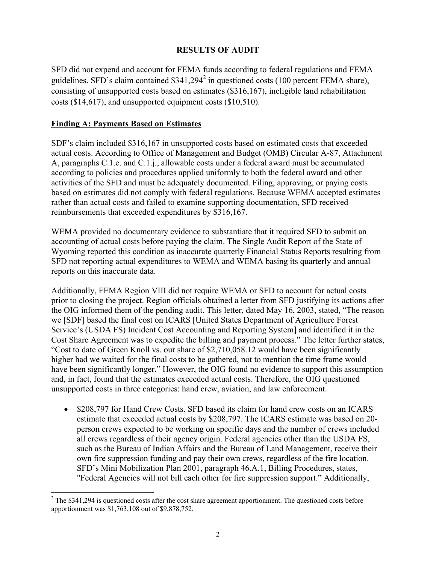# **RESULTS OF AUDIT**

SFD did not expend and account for FEMA funds according to federal regulations and FEMA guidelines.SFD's claim contained  $$341,294^2$  in questioned costs (100 percent FEMA share), consisting of unsupported costs based on estimates (\$316,167), ineligible land rehabilitation costs (\$14,617), and unsupported equipment costs (\$10,510).

## **Finding A: Payments Based on Estimates**

1

SDF's claim included \$316,167 in unsupported costs based on estimated costs that exceeded actual costs. According to Office of Management and Budget (OMB) Circular A-87, Attachment A, paragraphs C.1.e. and C.1.j., allowable costs under a federal award must be accumulated according to policies and procedures applied uniformly to both the federal award and other activities of the SFD and must be adequately documented. Filing, approving, or paying costs based on estimates did not comply with federal regulations. Because WEMA accepted estimates rather than actual costs and failed to examine supporting documentation, SFD received reimbursements that exceeded expenditures by \$316,167.

WEMA provided no documentary evidence to substantiate that it required SFD to submit an accounting of actual costs before paying the claim. The Single Audit Report of the State of Wyoming reported this condition as inaccurate quarterly Financial Status Reports resulting from SFD not reporting actual expenditures to WEMA and WEMA basing its quarterly and annual reports on this inaccurate data.

Additionally, FEMA Region VIII did not require WEMA or SFD to account for actual costs prior to closing the project. Region officials obtained a letter from SFD justifying its actions after the OIG informed them of the pending audit. This letter, dated May 16, 2003, stated, "The reason we [SDF] based the final cost on ICARS [United States Department of Agriculture Forest Service's (USDA FS) Incident Cost Accounting and Reporting System] and identified it in the Cost Share Agreement was to expedite the billing and payment process." The letter further states, "Cost to date of Green Knoll vs. our share of \$2,710,058.12 would have been significantly higher had we waited for the final costs to be gathered, not to mention the time frame would have been significantly longer." However, the OIG found no evidence to support this assumption and, in fact, found that the estimates exceeded actual costs. Therefore, the OIG questioned unsupported costs in three categories: hand crew, aviation, and law enforcement.

• \$208,797 for Hand Crew Costs. SFD based its claim for hand crew costs on an ICARS estimate that exceeded actual costs by \$208,797. The ICARS estimate was based on 20 person crews expected to be working on specific days and the number of crews included all crews regardless of their agency origin. Federal agencies other than the USDA FS, such as the Bureau of Indian Affairs and the Bureau of Land Management, receive their own fire suppression funding and pay their own crews, regardless of the fire location. SFD's Mini Mobilization Plan 2001, paragraph 46.A.1, Billing Procedures, states, "Federal Agencies will not bill each other for fire suppression support." Additionally,

<span id="page-1-0"></span> $2$  The \$341,294 is questioned costs after the cost share agreement apportionment. The questioned costs before apportionment was \$1,763,108 out of \$9,878,752.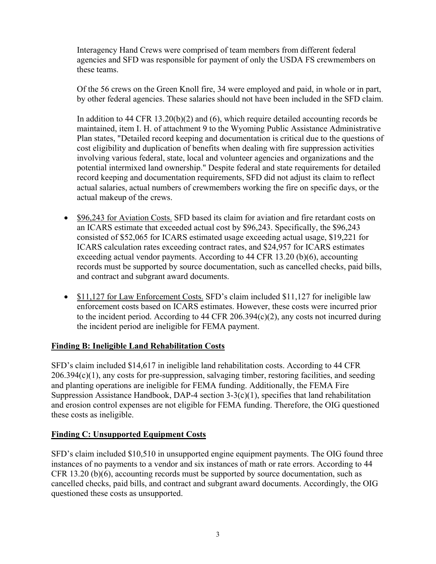Interagency Hand Crews were comprised of team members from different federal agencies and SFD was responsible for payment of only the USDA FS crewmembers on these teams.

Of the 56 crews on the Green Knoll fire, 34 were employed and paid, in whole or in part, by other federal agencies. These salaries should not have been included in the SFD claim.

In addition to 44 CFR 13.20(b)(2) and (6), which require detailed accounting records be maintained, item I. H. of attachment 9 to the Wyoming Public Assistance Administrative Plan states, "Detailed record keeping and documentation is critical due to the questions of cost eligibility and duplication of benefits when dealing with fire suppression activities involving various federal, state, local and volunteer agencies and organizations and the potential intermixed land ownership." Despite federal and state requirements for detailed record keeping and documentation requirements, SFD did not adjust its claim to reflect actual salaries, actual numbers of crewmembers working the fire on specific days, or the actual makeup of the crews.

- \$96,243 for Aviation Costs. SFD based its claim for aviation and fire retardant costs on an ICARS estimate that exceeded actual cost by \$96,243. Specifically, the \$96,243 consisted of \$52,065 for ICARS estimated usage exceeding actual usage, \$19,221 for ICARS calculation rates exceeding contract rates, and \$24,957 for ICARS estimates exceeding actual vendor payments. According to 44 CFR 13.20 (b)(6), accounting records must be supported by source documentation, such as cancelled checks, paid bills, and contract and subgrant award documents.
- \$11,127 for Law Enforcement Costs. SFD's claim included \$11,127 for ineligible law enforcement costs based on ICARS estimates. However, these costs were incurred prior to the incident period. According to 44 CFR 206.394 $(c)(2)$ , any costs not incurred during the incident period are ineligible for FEMA payment.

#### **Finding B: Ineligible Land Rehabilitation Costs**

SFD's claim included \$14,617 in ineligible land rehabilitation costs. According to 44 CFR 206.394(c)(1), any costs for pre-suppression, salvaging timber, restoring facilities, and seeding and planting operations are ineligible for FEMA funding. Additionally, the FEMA Fire Suppression Assistance Handbook, DAP-4 section 3-3(c)(1), specifies that land rehabilitation and erosion control expenses are not eligible for FEMA funding. Therefore, the OIG questioned these costs as ineligible.

# **Finding C: Unsupported Equipment Costs**

SFD's claim included \$10,510 in unsupported engine equipment payments. The OIG found three instances of no payments to a vendor and six instances of math or rate errors. According to 44 CFR 13.20 (b)(6), accounting records must be supported by source documentation, such as cancelled checks, paid bills, and contract and subgrant award documents. Accordingly, the OIG questioned these costs as unsupported.